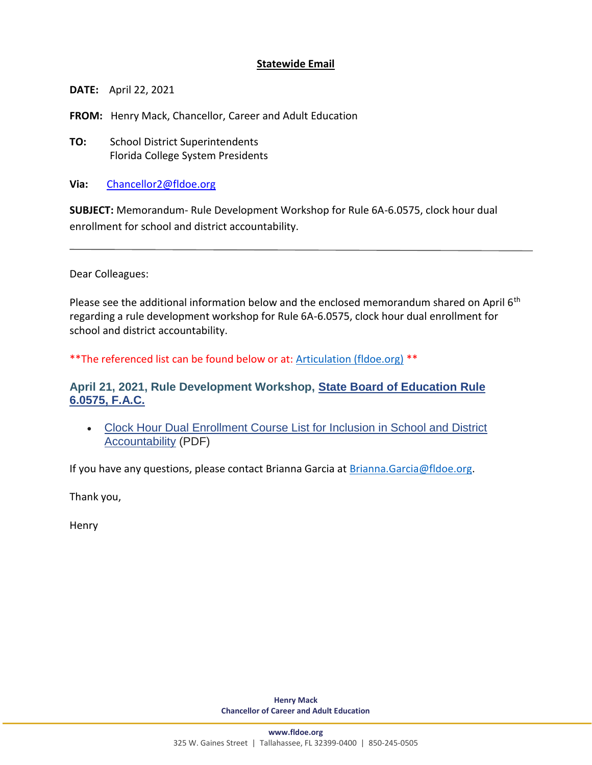## **Statewide Email**

 **DATE:** April 22, 2021

 **FROM:** Henry Mack, Chancellor, Career and Adult Education

**10: School District Superintendents** Florida College System Presidents

**Via:** [Chancellor2@fldoe.org](mailto:Chancellor2@fldoe.org) 

 **SUBJECT:** Memorandum- Rule Development Workshop for Rule 6A-6.0575, clock hour dual enrollment for school and district accountability.

Dear Colleagues:

Please see the additional information below and the enclosed memorandum shared on April 6<sup>th</sup> regarding a rule development workshop for Rule 6A-6.0575, clock hour dual enrollment for school and district accountability.

\*\*The referenced list can be found below or at: [Articulation \(fldoe.org\)](https://www.fldoe.org/policy/articulation/) \*\*

## **April 21, 2021, Rule Development Workshop, [State Board of Education Rule](https://www.flrules.org/gateway/readFile.asp?sid=1&tid=24388824&type=1&file=6A-6.0575.doc)  [6.0575, F.A.C.](https://www.flrules.org/gateway/readFile.asp?sid=1&tid=24388824&type=1&file=6A-6.0575.doc)**

• Clock Hour Dual Enrollment Course List for Inclusion in School and District [Accountability](https://www.fldoe.org/core/fileparse.php/5421/urlt/ClockHour-DualEnroll.pdf) (PDF)

If you have any questions, please contact Brianna Garcia at **Brianna.Garcia@fldoe.org.** 

Thank you,

Henry